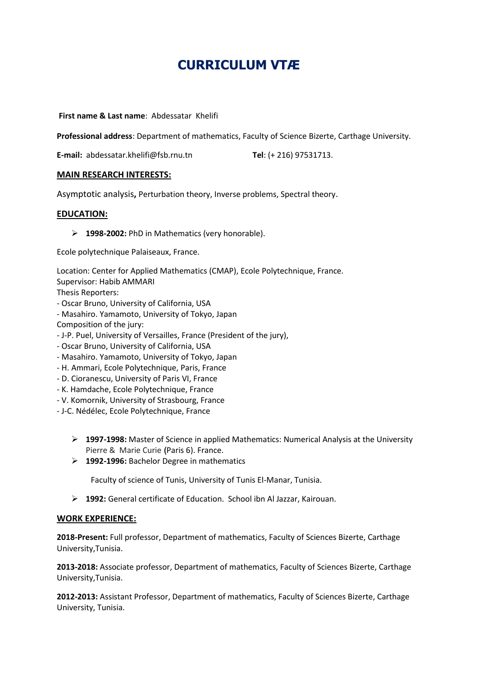# **CURRICULUM VTÆ**

 **First name & Last name**: Abdessatar Khelifi

**Professional address**: Department of mathematics, Faculty of Science Bizerte, Carthage University.

**E-mail:** abdessatar.khelifi@fsb.rnu.tn **Tel**: (+ 216) 97531713.

## **MAIN RESEARCH INTERESTS:**

Asymptotic analysis**,** Perturbation theory, Inverse problems, Spectral theory.

## **EDUCATION:**

**1998-2002:** PhD in Mathematics (very honorable).

Ecole polytechnique Palaiseaux, France.

Location: Center for Applied Mathematics (CMAP), Ecole Polytechnique, France.

Supervisor: Habib AMMARI

Thesis Reporters:

- Oscar Bruno, University of California, USA
- Masahiro. Yamamoto, University of Tokyo, Japan

Composition of the jury:

- J-P. Puel, University of Versailles, France (President of the jury),
- Oscar Bruno, University of California, USA
- Masahiro. Yamamoto, University of Tokyo, Japan
- H. Ammari, Ecole Polytechnique, Paris, France
- D. Cioranescu, University of Paris VI, France
- K. Hamdache, Ecole Polytechnique, France
- V. Komornik, University of Strasbourg, France
- J-C. Nédélec, Ecole Polytechnique, France
	- **1997-1998:** Master of Science in applied Mathematics: Numerical Analysis at the University Pierre & Marie Curie **(**Paris 6). France.
	- **1992-1996:** Bachelor Degree in mathematics

Faculty of science of Tunis, University of Tunis El-Manar, Tunisia.

**1992:** General certificate of Education. School ibn Al Jazzar, Kairouan.

## **WORK EXPERIENCE:**

**2018-Present:** Full professor, Department of mathematics, Faculty of Sciences Bizerte, Carthage University,Tunisia.

**2013-2018:** Associate professor, Department of mathematics, Faculty of Sciences Bizerte, Carthage University,Tunisia.

**2012-2013:** Assistant Professor, Department of mathematics, Faculty of Sciences Bizerte, Carthage University, Tunisia.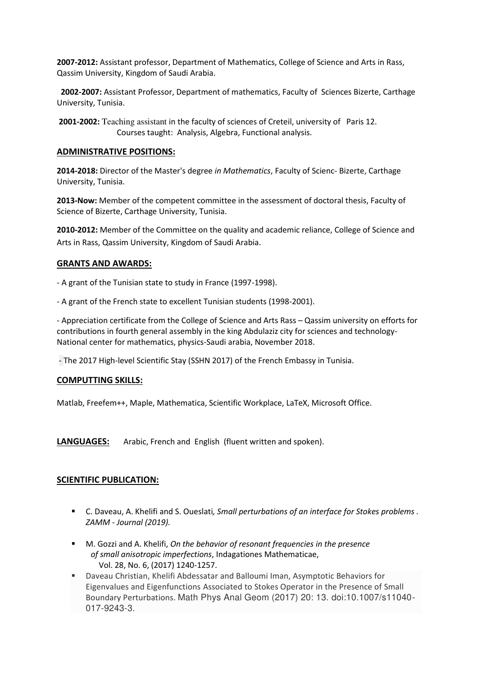**2007-2012:** Assistant professor, Department of Mathematics, College of Science and Arts in Rass, Qassim University, Kingdom of Saudi Arabia.

 **2002-2007:** Assistant Professor, Department of mathematics, Faculty of Sciences Bizerte, Carthage University, Tunisia.

 **2001-2002:** Teaching assistant in the faculty of sciences of Creteil, university of Paris 12. Courses taught: Analysis, Algebra, Functional analysis.

## **ADMINISTRATIVE POSITIONS:**

**2014-2018:** Director of the Master's degree *in Mathematics*, Faculty of Scienc- Bizerte, Carthage University, Tunisia.

**2013-Now:** Member of the competent committee in the assessment of doctoral thesis, Faculty of Science of Bizerte, Carthage University, Tunisia.

**2010-2012:** Member of the Committee on the quality and academic reliance, College of Science and Arts in Rass, Qassim University, Kingdom of Saudi Arabia.

# **GRANTS AND AWARDS:**

- A grant of the Tunisian state to study in France (1997-1998).

- A grant of the French state to excellent Tunisian students (1998-2001).

- Appreciation certificate from the College of Science and Arts Rass – Qassim university on efforts for contributions in fourth general assembly in the king Abdulaziz city for sciences and technology-National center for mathematics, physics-Saudi arabia, November 2018.

- The 2017 High-level Scientific Stay (SSHN 2017) of the French Embassy in Tunisia.

## **COMPUTTING SKILLS:**

Matlab, Freefem++, Maple, Mathematica, Scientific Workplace, LaTeX, Microsoft Office.

**LANGUAGES:** Arabic, French and English (fluent written and spoken).

# **SCIENTIFIC PUBLICATION:**

- C. Daveau, A. Khelifi and S. Oueslati, Small perturbations of an interface for Stokes problems. *ZAMM - Journal (2019).*
- M. Gozzi and A. Khelifi, *On the behavior of resonant frequencies in the presence of small anisotropic imperfections*, Indagationes Mathematicae, Vol. 28, No. 6, (2017) 1240-1257.
- Daveau Christian, Khelifi Abdessatar and Balloumi Iman, Asymptotic Behaviors for Eigenvalues and Eigenfunctions Associated to Stokes Operator in the Presence of Small Boundary Perturbations. Math Phys Anal Geom (2017) 20: 13. doi:10.1007/s11040- 017-9243-3.